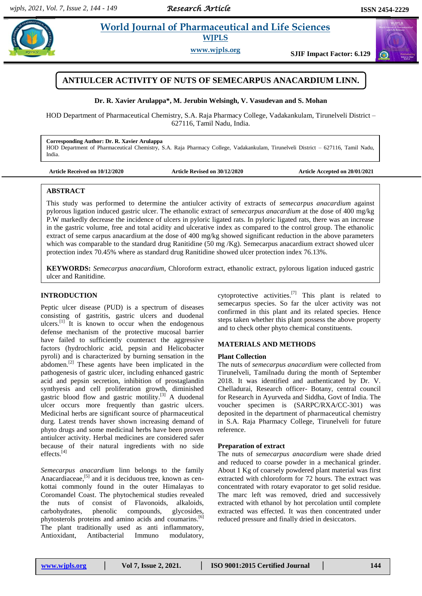*Research Article* 

### **Example 3 World Journal of Pharmaceutical and Life Sciences World Journal of Pharmaceutical and Life Sciences WJPLS**

**www.wjpls.org SJIF Impact Factor: 6.129**



**Dr. R. Xavier Arulappa\*, M. Jerubin Welsingh, V. Vasudevan and S. Mohan**

HOD Department of Pharmaceutical Chemistry, S.A. Raja Pharmacy College, Vadakankulam, Tirunelveli District – 627116, Tamil Nadu, India.

**Corresponding Author: Dr. R. Xavier Arulappa**

HOD Department of Pharmaceutical Chemistry, S.A. Raja Pharmacy College, Vadakankulam, Tirunelveli District – 627116, Tamil Nadu, India.

**Article Received on 10/12/2020 Article Revised on 30/12/2020 Article Accepted on 20/01/2021**

### **ABSTRACT**

This study was performed to determine the antiulcer activity of extracts of *semecarpus anacardium* against pylorous ligation induced gastric ulcer. The ethanolic extract of *semecarpus anacardium* at the dose of 400 mg/kg P.W markedly decrease the incidence of ulcers in pyloric ligated rats. In pyloric ligated rats, there was an increase in the gastric volume, free and total acidity and ulcerative index as compared to the control group. The ethanolic extract of seme carpus anacardium at the dose of 400 mg/kg showed significant reduction in the above parameters which was comparable to the standard drug Ranitidine (50 mg /Kg). Semecarpus anacardium extract showed ulcer protection index 70.45% where as standard drug Ranitidine showed ulcer protection index 76.13%.

**KEYWORDS:** *Semecarpus anacardium*, Chloroform extract, ethanolic extract, pylorous ligation induced gastric ulcer and Ranitidine.

### **INTRODUCTION**

Peptic ulcer disease (PUD) is a spectrum of diseases consisting of gastritis, gastric ulcers and duodenal ulcers. $\left[1\right]$  It is known to occur when the endogenous defense mechanism of the protective mucosal barrier have failed to sufficiently counteract the aggressive factors (hydrochloric acid, pepsin and Helicobacter pyroli) and is characterized by burning sensation in the abdomen.<sup>[2]</sup> These agents have been implicated in the pathogenesis of gastric ulcer, including enhanced gastric acid and pepsin secretion, inhibition of prostaglandin synthyesis and cell proliferation growth, diminished gastric blood flow and gastric motility. [3] A duodenal ulcer occurs more frequently than gastric ulcers. Medicinal herbs are significant source of pharmaceutical durg. Latest trends haver shown increasing demand of phyto drugs and some medicinal herbs have been proven antiulcer activity. Herbal medicines are considered safer because of their natural ingredients with no side effects. [4]

*Semecarpus anacardium* linn belongs to the family Anacardiaceae,<sup>[5]</sup> and it is deciduous tree, known as cenkottai commonly found in the outer Himalayas to Coromandel Coast. The phytochemical studies revealed the nuts of consist of Flavonoids, alkaloids, carbohydrates, phenolic compounds, glycosides, phytosterols proteins and amino acids and coumarins. [6] The plant traditionally used as anti inflammatory, Antioxidant, Antibacterial Immuno modulatory,

cytoprotective activities.<sup>[7]</sup> This plant is related to semecarpus species. So far the ulcer activity was not confirmed in this plant and its related species. Hence steps taken whether this plant possess the above property and to check other phyto chemical constituents.

### **MATERIALS AND METHODS**

# **Plant Collection**

The nuts of *semecarpus anacardium* were collected from Tirunelveli, Tamilnadu during the month of September 2018. It was identified and authenticated by Dr. V. Chelladurai, Research officer- Botany, central council for Research in Ayurveda and Siddha, Govt of India. The voucher specimen is (SARPC/RXA/CC-301) was deposited in the department of pharmaceutical chemistry in S.A. Raja Pharmacy College, Tirunelveli for future reference.

### **Preparation of extract**

The nuts of *semecarpus anacardium* were shade dried and reduced to coarse powder in a mechanical grinder. About 1 Kg of coarsely powdered plant material was first extracted with chloroform for 72 hours. The extract was concentrated with rotary evaporator to get solid residue. The marc left was removed, dried and successively extracted with ethanol by hot percolation until complete extracted was effected. It was then concentrated under reduced pressure and finally dried in desiccators.



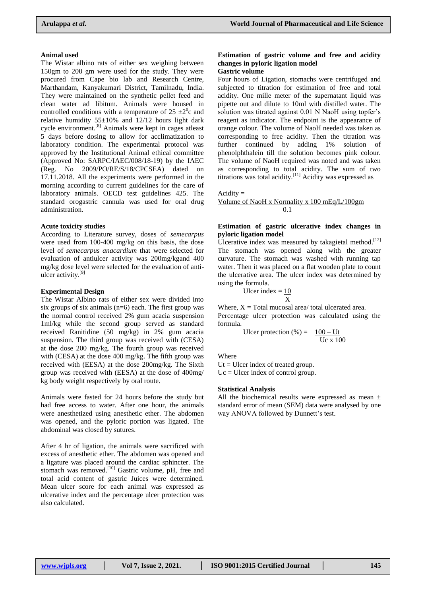### **Animal used**

The Wistar albino rats of either sex weighing between 150gm to 200 gm were used for the study. They were procured from Cape bio lab and Research Centre, Marthandam, Kanyakumari District, Tamilnadu, India. They were maintained on the synthetic pellet feed and clean water ad libitum. Animals were housed in controlled conditions with a temperature of  $25 \pm 2^0c$  and relative humidity  $55\pm10\%$  and  $12/12$  hours light dark cycle environment.<sup>[8]</sup> Animals were kept in cages atleast 5 days before dosing to allow for acclimatization to laboratory condition. The experimental protocol was approved by the Institutional Animal ethical committee (Approved No: SARPC/IAEC/008/18-19) by the IAEC (Reg. No 2009/PO/RE/S/18/CPCSEA) dated on 17.11.2018. All the experiments were performed in the morning according to current guidelines for the care of laboratory animals. OECD test guidelines 425. The standard orogastric cannula was used for oral drug administration.

#### **Acute toxicity studies**

According to Literature survey, doses of *semecarpus* were used from 100-400 mg/kg on this basis, the dose level of *semecarpus anacardium* that were selected for evaluation of antiulcer activity was 200mg/kgand 400 mg/kg dose level were selected for the evaluation of antiulcer activity. [9]

#### **Experimental Design**

The Wistar Albino rats of either sex were divided into six groups of six animals  $(n=6)$  each. The first group was the normal control received 2% gum acacia suspension 1ml/kg while the second group served as standard received Ranitidine (50 mg/kg) in 2% gum acacia suspension. The third group was received with (CESA) at the dose 200 mg/kg. The fourth group was received with (CESA) at the dose 400 mg/kg. The fifth group was received with (EESA) at the dose 200mg/kg. The Sixth group was received with (EESA) at the dose of 400mg/ kg body weight respectively by oral route.

Animals were fasted for 24 hours before the study but had free access to water. After one hour, the animals were anesthetized using anesthetic ether. The abdomen was opened, and the pyloric portion was ligated. The abdominal was closed by sutures.

After 4 hr of ligation, the animals were sacrificed with excess of anesthetic ether. The abdomen was opened and a ligature was placed around the cardiac sphincter. The stomach was removed.<sup>[10]</sup> Gastric volume, pH, free and total acid content of gastric Juices were determined. Mean ulcer score for each animal was expressed as ulcerative index and the percentage ulcer protection was also calculated.

### **Estimation of gastric volume and free and acidity changes in pyloric ligation model Gastric volume**

Four hours of Ligation, stomachs were centrifuged and subjected to titration for estimation of free and total acidity. One mille meter of the supernatant liquid was pipette out and dilute to 10ml with distilled water. The solution was titrated against 0.01 N NaoH using topfer's reagent as indicator. The endpoint is the appearance of orange colour. The volume of NaoH needed was taken as corresponding to free acidity. Then the titration was further continued by adding 1% solution of phenolphthalein till the solution becomes pink colour. The volume of NaoH required was noted and was taken as corresponding to total acidity. The sum of two titrations was total acidity.<sup>[11]</sup> Acidity was expressed as

 $Acidity =$ 

Volume of NaoH x Normality x 100 mEq/L/100gm 0.1

### **Estimation of gastric ulcerative index changes in pyloric ligation model**

Ulcerative index was measured by takagietal method.<sup>[12]</sup> The stomach was opened along with the greater curvature. The stomach was washed with running tap water. Then it was placed on a flat wooden plate to count the ulcerative area. The ulcer index was determined by using the formula.

$$
Uler index = \frac{10}{X}
$$

Where,  $X = Total$  mucosal area/ total ulcerated area. Percentage ulcer protection was calculated using the formula.

Uler protection (
$$
\% = \frac{100 - Ut}{Uc \times 100}
$$
)

**Where** 

 $Ut = Ulcer$  index of treated group.  $Uc = Ulcer$  index of control group.

### **Statistical Analysis**

All the biochemical results were expressed as mean  $\pm$ standard error of mean (SEM) data were analysed by one way ANOVA followed by Dunnett's test.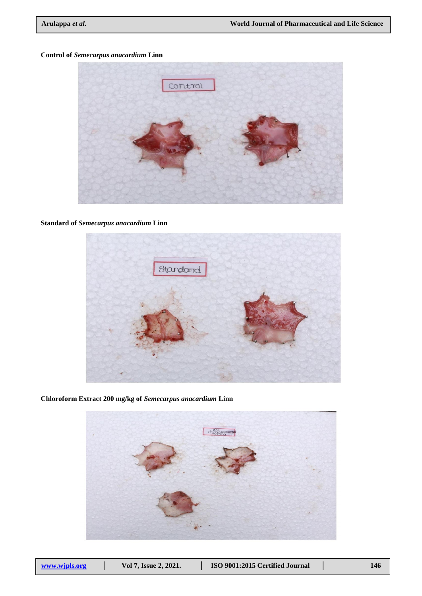# **Control of** *Semecarpus anacardium* **Linn**



## **Standard of** *Semecarpus anacardium* **Linn**



**Chloroform Extract 200 mg/kg of** *Semecarpus anacardium* **Linn**

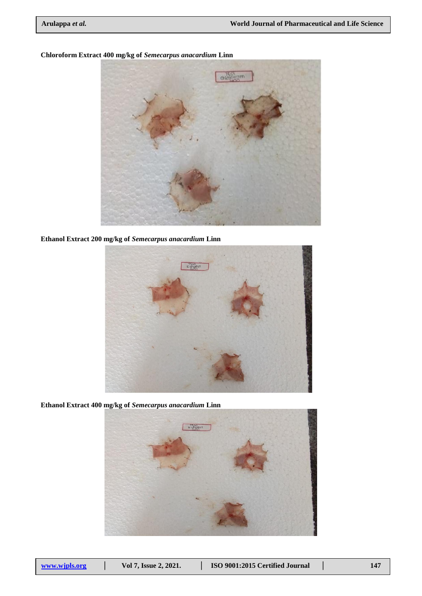

## **Chloroform Extract 400 mg/kg of** *Semecarpus anacardium* **Linn**

**Ethanol Extract 200 mg/kg of** *Semecarpus anacardium* **Linn**



**Ethanol Extract 400 mg/kg of** *Semecarpus anacardium* **Linn**

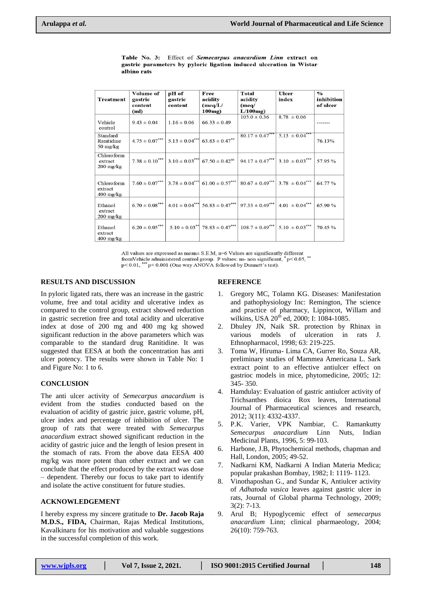|                                                            | Volume of             | pH of           | Free                                                  | Total                                              | Ulcer               | $\frac{1}{2}$ |
|------------------------------------------------------------|-----------------------|-----------------|-------------------------------------------------------|----------------------------------------------------|---------------------|---------------|
| <b>Treatment</b>                                           | gastric               | gastric         | acidity                                               | acidity                                            | index               | inhibition    |
|                                                            | content               | content         | (meq/L)                                               | (meq)                                              |                     | of ulcer      |
|                                                            | (ml)                  |                 | $100mg$ )                                             | $L/100$ mg)                                        |                     |               |
| Vehicle<br>control                                         | $9.43 \pm 0.04$       | $1.16 \pm 0.06$ | $66.33 \pm 0.49$                                      | $105.0 \pm 0.36$                                   | $8.78 \pm 0.06$     |               |
| Standard<br>Ranitidine<br>$50 \frac{\text{mg}}{\text{kg}}$ | $4.75 \pm 0.07^{***}$ |                 | $5.13 \pm 0.04^{***}$ 63.83 $\pm 0.47^{**}$           | $80.17 \pm 0.47***$                                | $5.13 \pm 0.04$ *** | 76.13%        |
| Chloroform<br>extract<br>$200 \frac{\text{mg}}{\text{kg}}$ | $7.38 \pm 0.10^{***}$ |                 | $3.10 \pm 0.03^{***}$ 67.50 $\pm$ 0.42 <sup>ns</sup>  | $94.17 \pm 0.47***$                                | $3.10 \pm 0.03$ *** | 57.95 %       |
| Chloro form<br>extract<br>$400 \text{ mg/kg}$              | $7.60 \pm 0.07***$    |                 | $3.78 \pm 0.04^{***}$ 61.00 $\pm$ 0.57 <sup>***</sup> | $80.67 \pm 0.49***$                                | $3.78 \pm 0.04***$  | 64.77%        |
| Ethanol<br>extract<br>$200$ mg/kg                          | $6.70 \pm 0.08***$    |                 | $4.01 \pm 0.04^{***}$ 56.83 $\pm 0.47^{***}$          | $97.33 \pm 0.49***$                                | $4.01 \pm 0.04***$  | 65.90 %       |
| Ethanol<br>extract<br>$400 \frac{\text{mg}}{\text{kg}}$    | $6.20 \pm 0.05***$    |                 |                                                       | $5.10 \pm 0.03$ ** 78.83 ± 0.47*** 108.7 ± 0.49*** | $5.10 \pm 0.03$ *** | 70.45 %       |

Table No. 3: Effect of Semecarpus anacardium Linn extract on gastric parameters by pyloric ligation induced ulceration in Wistar albino rats

All values are expressed as mean $\pm$  S.E.M, n=6 Values are significantly different All values are expressed as linear- 3. E.M,  $n=0$  values are significant,  $*pc 0.05$ ,  $*pc 0.01$ ,  $**pc 0.001$  (One way ANOVA followed by Dunnett's test).

## **RESULTS AND DISCUSSION**

In pyloric ligated rats, there was an increase in the gastric volume, free and total acidity and ulcerative index as compared to the control group, extract showed reduction in gastric secretion free and total acidity and ulcerative index at dose of 200 mg and 400 mg kg showed significant reduction in the above parameters which was comparable to the standard drug Ranitidine. It was suggested that EESA at both the concentration has anti ulcer potency. The results were shown in Table No: 1 and Figure No: 1 to 6.

# **CONCLUSION**

The anti ulcer activity of *Semecarpus anacardium* is evident from the studies conducted based on the evaluation of acidity of gastric juice, gastric volume, pH, ulcer index and percentage of inhibition of ulcer. The group of rats that were treated with *Semecarpus anacardium* extract showed significant reduction in the acidity of gastric juice and the length of lesion present in the stomach of rats. From the above data EESA 400 mg/kg was more potent than other extract and we can conclude that the effect produced by the extract was dose – dependent. Thereby our focus to take part to identify and isolate the active constituent for future studies.

# **ACKNOWLEDGEMENT**

I hereby express my sincere gratitude to **Dr. Jacob Raja M.D.S., FIDA,** Chairman, Rajas Medical Institutions, Kavalkinaru for his motivation and valuable suggestions in the successful completion of this work.

## **REFERENCE**

- 1. Gregory MC, Tolamn KG. Diseases: Manifestation and pathophysiology Inc: Remington, The science and practice of pharmacy, Lippincot, Willam and wilkins, USA 20<sup>th</sup> ed, 2000; I: 1084-1085.
- 2. Dhuley JN, Naik SR. protection by Rhinax in various models of ulceration in rats J. Ethnopharmacol, 1998; 63: 219-225.
- 3. Toma W, Hiruma- Lima CA, Gurrer Ro, Souza AR, preliminary studies of Mammea Americana L. Sark extract point to an effective antiulcer effect on gastrioc models in mice, phytomedicine, 2005; 12: 345- 350.
- 4. Hamdulay: Evaluation of gastric antiulcer activity of Trichsanthes dioica Rox leaves, International Journal of Pharmaceutical sciences and research, 2012; 3(11): 4332-4337.
- 5. P.K. Varier, VPK Nambiar, C. Ramankutty *Semecarpus anacardium* Linn Nuts, Indian Medicinal Plants, 1996, 5: 99-103.
- 6. Harbone, J.B, Phytochemical methods, chapman and Hall, London, 2005; 49-52.
- 7. Nadkarni KM, Nadkarni A Indian Materia Medica; popular prakashan Bombay, 1982; I: 1119- 1123.
- 8. Vinothaposhan G., and Sundar K, Antiulcer activity of *Adhatoda vasica* leaves against gastric ulcer in rats, Journal of Global pharma Technology, 2009; 3(2): 7-13.
- 9. Arul B; Hypoglycemic effect of *semecarpus anacardium* Linn; clinical pharmaeology, 2004; 26(10): 759-763.